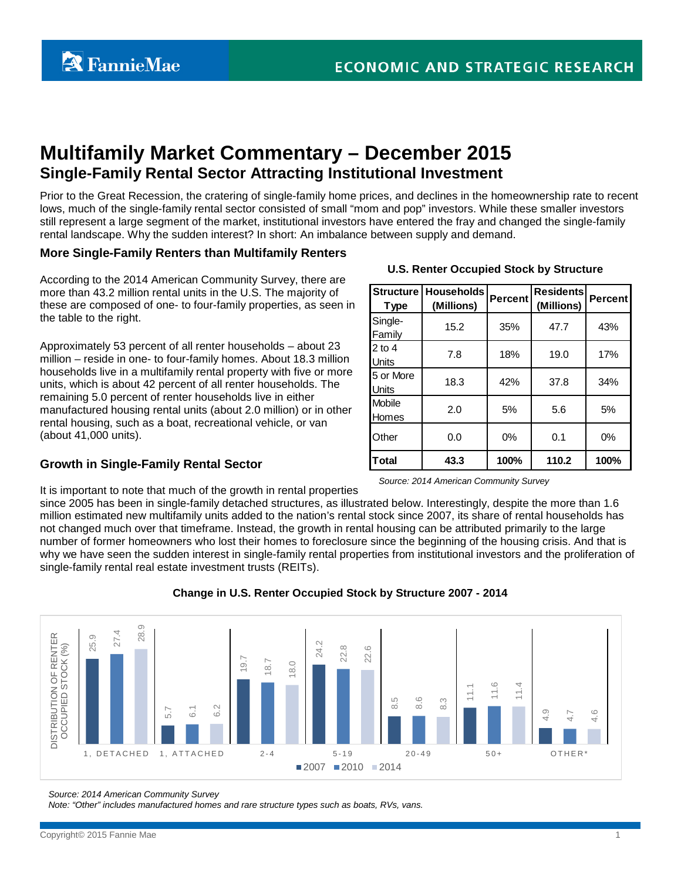# **Multifamily Market Commentary – December 2015 Single-Family Rental Sector Attracting Institutional Investment**

Prior to the Great Recession, the cratering of single-family home prices, and declines in the homeownership rate to recent lows, much of the single-family rental sector consisted of small "mom and pop" investors. While these smaller investors still represent a large segment of the market, institutional investors have entered the fray and changed the single-family rental landscape. Why the sudden interest? In short: An imbalance between supply and demand.

> **Structure Type**

Single-

2 to 4

Mobile

5 or More

#### **More Single-Family Renters than Multifamily Renters**

According to the 2014 American Community Survey, there are more than 43.2 million rental units in the U.S. The majority of these are composed of one- to four-family properties, as seen in the table to the right.

Approximately 53 percent of all renter households – about 23 million – reside in one- to four-family homes. About 18.3 million households live in a multifamily rental property with five or more units, which is about 42 percent of all renter households. The remaining 5.0 percent of renter households live in either manufactured housing rental units (about 2.0 million) or in other rental housing, such as a boat, recreational vehicle, or van (about 41,000 units).

#### **Growth in Single-Family Rental Sector**

| Total | 43.3 | 100%  | 110.2 | 100% |
|-------|------|-------|-------|------|
| Other |      | $0\%$ |       | ገ%   |

## **U.S. Renter Occupied Stock by Structure**

Family 15.2 35% 47.7 43%

Units 7.8 18% 19.0 17%

Units 18.3 42% 37.8 34%

Homes 2.0 5% 5.6 5%

**(Millions) Percent Residents (Millions) Percent**

**Households** 

*Source: 2014 American Community Survey* 

It is important to note that much of the growth in rental properties since 2005 has been in single-family detached structures, as illustrated below. Interestingly, despite the more than 1.6

million estimated new multifamily units added to the nation's rental stock since 2007, its share of rental households has not changed much over that timeframe. Instead, the growth in rental housing can be attributed primarily to the large number of former homeowners who lost their homes to foreclosure since the beginning of the housing crisis. And that is why we have seen the sudden interest in single-family rental properties from institutional investors and the proliferation of single-family rental real estate investment trusts (REITs).



#### **Change in U.S. Renter Occupied Stock by Structure 2007 - 2014**

*Source: 2014 American Community Survey* 

*Note: "Other" includes manufactured homes and rare structure types such as boats, RVs, vans.*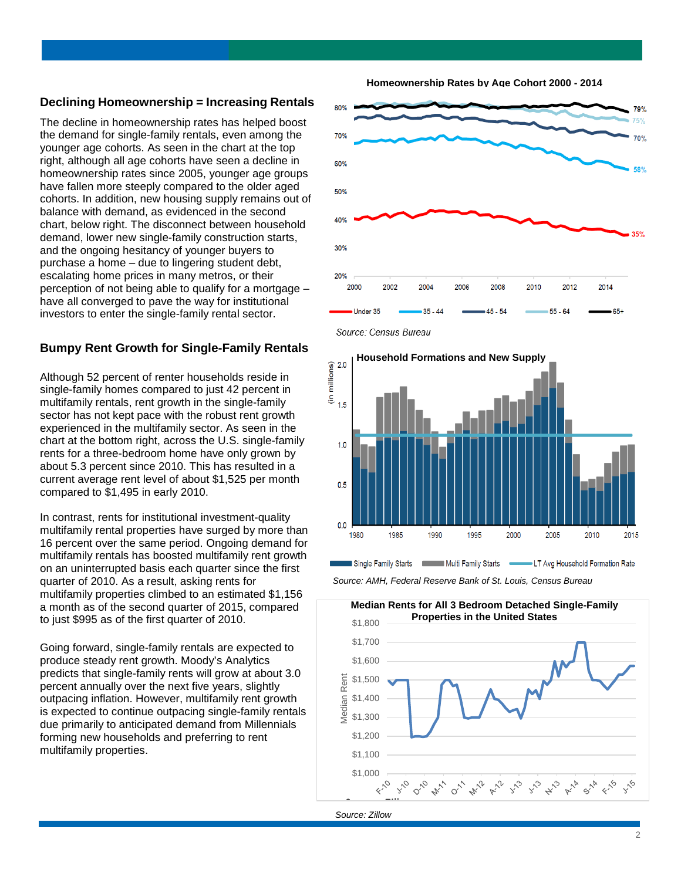#### **Declining Homeownership = Increasing Rentals**

The decline in homeownership rates has helped boost the demand for single-family rentals, even among the younger age cohorts. As seen in the chart at the top right, although all age cohorts have seen a decline in homeownership rates since 2005, younger age groups have fallen more steeply compared to the older aged cohorts. In addition, new housing supply remains out of balance with demand, as evidenced in the second chart, below right. The disconnect between household demand, lower new single-family construction starts, and the ongoing hesitancy of younger buyers to purchase a home – due to lingering student debt, escalating home prices in many metros, or their perception of not being able to qualify for a mortgage – have all converged to pave the way for institutional investors to enter the single-family rental sector.

#### **Bumpy Rent Growth for Single-Family Rentals**

Although 52 percent of renter households reside in single-family homes compared to just 42 percent in multifamily rentals, rent growth in the single-family sector has not kept pace with the robust rent growth experienced in the multifamily sector. As seen in the chart at the bottom right, across the U.S. single-family rents for a three-bedroom home have only grown by about 5.3 percent since 2010. This has resulted in a current average rent level of about \$1,525 per month compared to \$1,495 in early 2010.

In contrast, rents for institutional investment-quality multifamily rental properties have surged by more than 16 percent over the same period. Ongoing demand for multifamily rentals has boosted multifamily rent growth on an uninterrupted basis each quarter since the first quarter of 2010. As a result, asking rents for multifamily properties climbed to an estimated \$1,156 a month as of the second quarter of 2015, compared to just \$995 as of the first quarter of 2010.

Going forward, single-family rentals are expected to produce steady rent growth. Moody's Analytics predicts that single-family rents will grow at about 3.0 percent annually over the next five years, slightly outpacing inflation. However, multifamily rent growth is expected to continue outpacing single-family rentals due primarily to anticipated demand from Millennials forming new households and preferring to rent multifamily properties.







Source: Census Bureau





![](_page_1_Figure_12.jpeg)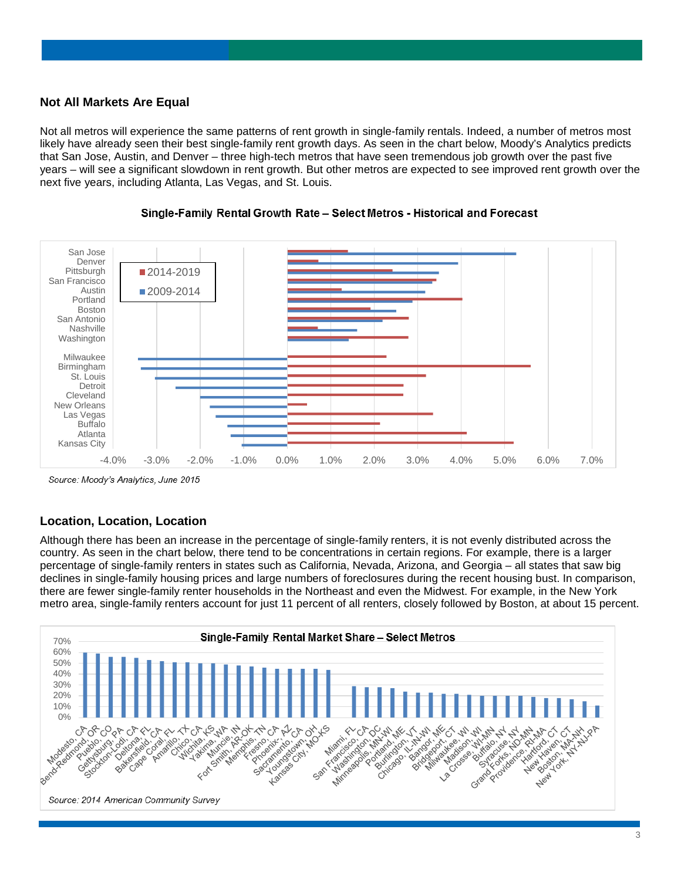## **Not All Markets Are Equal**

Not all metros will experience the same patterns of rent growth in single-family rentals. Indeed, a number of metros most likely have already seen their best single-family rent growth days. As seen in the chart below, Moody's Analytics predicts that San Jose, Austin, and Denver – three high-tech metros that have seen tremendous job growth over the past five years – will see a significant slowdown in rent growth. But other metros are expected to see improved rent growth over the next five years, including Atlanta, Las Vegas, and St. Louis.

![](_page_2_Figure_2.jpeg)

![](_page_2_Figure_3.jpeg)

Source: Moody's Analytics, June 2015

## **Location, Location, Location**

Although there has been an increase in the percentage of single-family renters, it is not evenly distributed across the country. As seen in the chart below, there tend to be concentrations in certain regions. For example, there is a larger percentage of single-family renters in states such as California, Nevada, Arizona, and Georgia – all states that saw big declines in single-family housing prices and large numbers of foreclosures during the recent housing bust. In comparison, there are fewer single-family renter households in the Northeast and even the Midwest. For example, in the New York metro area, single-family renters account for just 11 percent of all renters, closely followed by Boston, at about 15 percent.

![](_page_2_Figure_7.jpeg)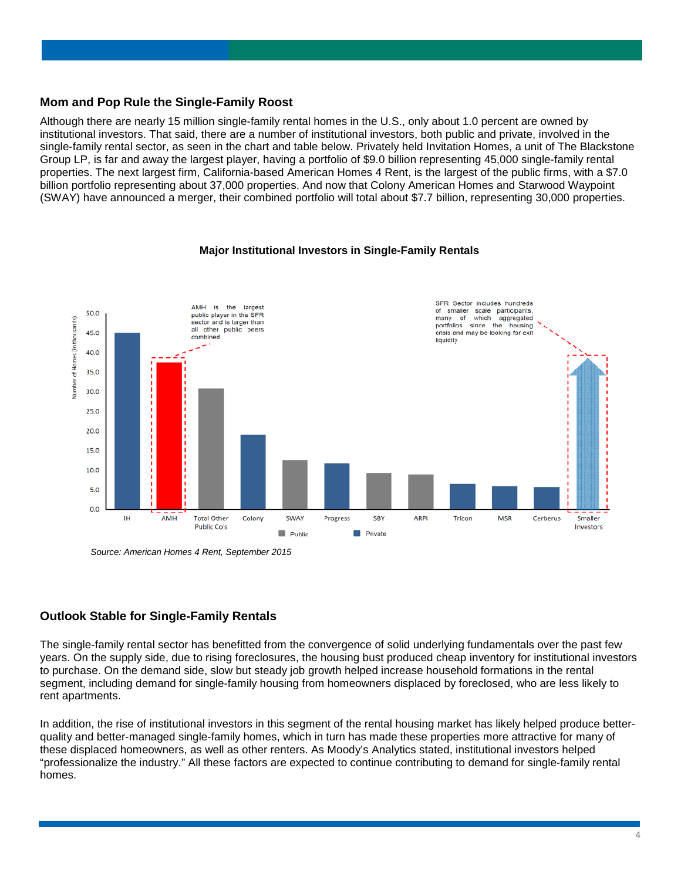#### **Mom and Pop Rule the Single-Family Roost**

Although there are nearly 15 million single-family rental homes in the U.S., only about 1.0 percent are owned by institutional investors. That said, there are a number of institutional investors, both public and private, involved in the single-family rental sector, as seen in the chart and table below. Privately held Invitation Homes, a unit of The Blackstone Group LP, is far and away the largest player, having a portfolio of \$9.0 billion representing 45,000 single-family rental properties. The next largest firm, California-based American Homes 4 Rent, is the largest of the public firms, with a \$7.0 billion portfolio representing about 37,000 properties. And now that Colony American Homes and Starwood Waypoint (SWAY) have announced a merger, their combined portfolio will total about \$7.7 billion, representing 30,000 properties.

#### **Major Institutional Investors in Single-Family Rentals**

![](_page_3_Figure_3.jpeg)

*Source: American Homes 4 Rent, September 2015*

## **Outlook Stable for Single-Family Rentals**

The single-family rental sector has benefitted from the convergence of solid underlying fundamentals over the past few years. On the supply side, due to rising foreclosures, the housing bust produced cheap inventory for institutional investors to purchase. On the demand side, slow but steady job growth helped increase household formations in the rental segment, including demand for single-family housing from homeowners displaced by foreclosed, who are less likely to rent apartments.

In addition, the rise of institutional investors in this segment of the rental housing market has likely helped produce betterquality and better-managed single-family homes, which in turn has made these properties more attractive for many of these displaced homeowners, as well as other renters. As Moody's Analytics stated, institutional investors helped "professionalize the industry." All these factors are expected to continue contributing to demand for single-family rental homes.